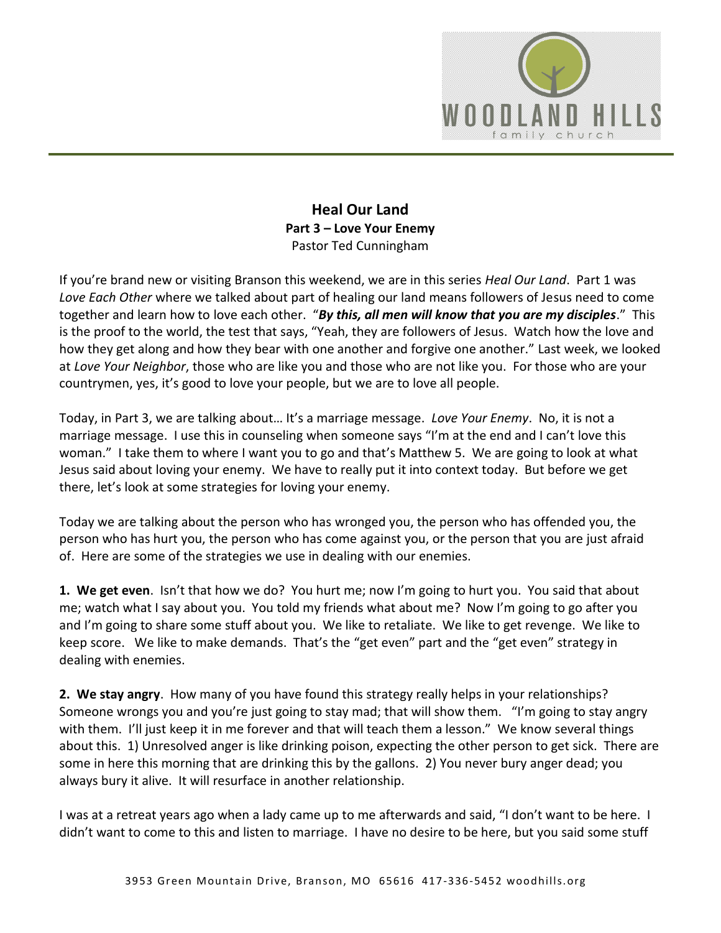

## **Heal Our Land Part 3 – Love Your Enemy**  Pastor Ted Cunningham

If you're brand new or visiting Branson this weekend, we are in this series *Heal Our Land*. Part 1 was *Love Each Other* where we talked about part of healing our land means followers of Jesus need to come together and learn how to love each other. "*By this, all men will know that you are my disciples*." This is the proof to the world, the test that says, "Yeah, they are followers of Jesus. Watch how the love and how they get along and how they bear with one another and forgive one another." Last week, we looked at *Love Your Neighbor*, those who are like you and those who are not like you. For those who are your countrymen, yes, it's good to love your people, but we are to love all people.

Today, in Part 3, we are talking about… It's a marriage message. *Love Your Enemy*. No, it is not a marriage message. I use this in counseling when someone says "I'm at the end and I can't love this woman." I take them to where I want you to go and that's Matthew 5. We are going to look at what Jesus said about loving your enemy. We have to really put it into context today. But before we get there, let's look at some strategies for loving your enemy.

Today we are talking about the person who has wronged you, the person who has offended you, the person who has hurt you, the person who has come against you, or the person that you are just afraid of. Here are some of the strategies we use in dealing with our enemies.

**1. We get even**. Isn't that how we do? You hurt me; now I'm going to hurt you. You said that about me; watch what I say about you. You told my friends what about me? Now I'm going to go after you and I'm going to share some stuff about you. We like to retaliate. We like to get revenge. We like to keep score. We like to make demands. That's the "get even" part and the "get even" strategy in dealing with enemies.

**2. We stay angry**. How many of you have found this strategy really helps in your relationships? Someone wrongs you and you're just going to stay mad; that will show them. "I'm going to stay angry with them. I'll just keep it in me forever and that will teach them a lesson." We know several things about this. 1) Unresolved anger is like drinking poison, expecting the other person to get sick. There are some in here this morning that are drinking this by the gallons. 2) You never bury anger dead; you always bury it alive. It will resurface in another relationship.

I was at a retreat years ago when a lady came up to me afterwards and said, "I don't want to be here. I didn't want to come to this and listen to marriage. I have no desire to be here, but you said some stuff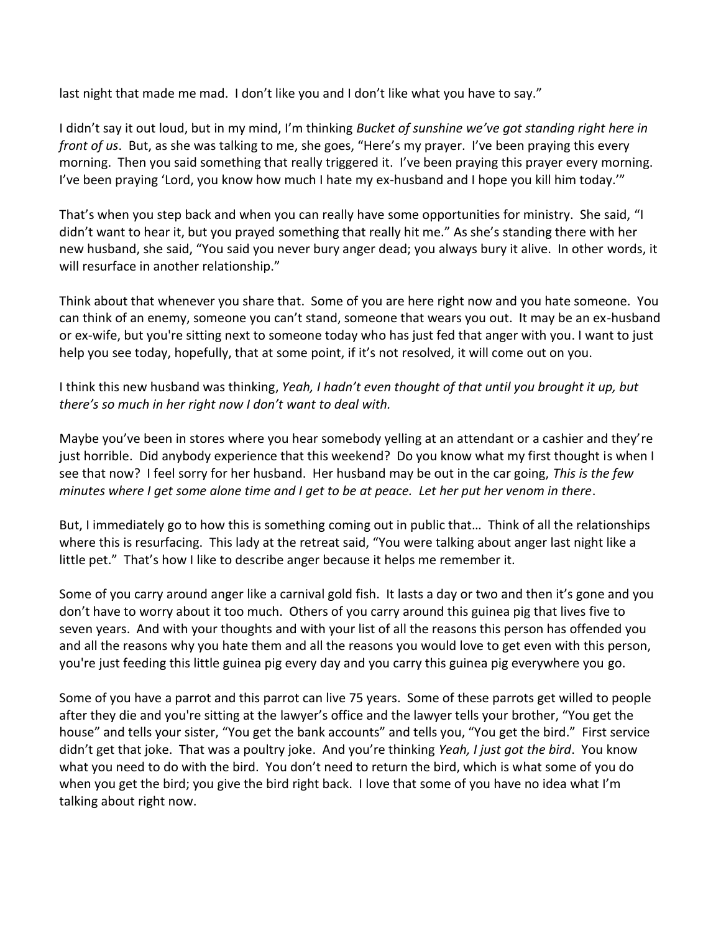last night that made me mad. I don't like you and I don't like what you have to say."

I didn't say it out loud, but in my mind, I'm thinking *Bucket of sunshine we've got standing right here in front of us*. But, as she was talking to me, she goes, "Here's my prayer. I've been praying this every morning. Then you said something that really triggered it. I've been praying this prayer every morning. I've been praying 'Lord, you know how much I hate my ex-husband and I hope you kill him today.'"

That's when you step back and when you can really have some opportunities for ministry. She said, "I didn't want to hear it, but you prayed something that really hit me." As she's standing there with her new husband, she said, "You said you never bury anger dead; you always bury it alive. In other words, it will resurface in another relationship."

Think about that whenever you share that. Some of you are here right now and you hate someone. You can think of an enemy, someone you can't stand, someone that wears you out. It may be an ex-husband or ex-wife, but you're sitting next to someone today who has just fed that anger with you. I want to just help you see today, hopefully, that at some point, if it's not resolved, it will come out on you.

I think this new husband was thinking, *Yeah, I hadn't even thought of that until you brought it up, but there's so much in her right now I don't want to deal with.*

Maybe you've been in stores where you hear somebody yelling at an attendant or a cashier and they're just horrible. Did anybody experience that this weekend? Do you know what my first thought is when I see that now? I feel sorry for her husband. Her husband may be out in the car going, *This is the few minutes where I get some alone time and I get to be at peace. Let her put her venom in there*.

But, I immediately go to how this is something coming out in public that… Think of all the relationships where this is resurfacing. This lady at the retreat said, "You were talking about anger last night like a little pet." That's how I like to describe anger because it helps me remember it.

Some of you carry around anger like a carnival gold fish. It lasts a day or two and then it's gone and you don't have to worry about it too much. Others of you carry around this guinea pig that lives five to seven years. And with your thoughts and with your list of all the reasons this person has offended you and all the reasons why you hate them and all the reasons you would love to get even with this person, you're just feeding this little guinea pig every day and you carry this guinea pig everywhere you go.

Some of you have a parrot and this parrot can live 75 years. Some of these parrots get willed to people after they die and you're sitting at the lawyer's office and the lawyer tells your brother, "You get the house" and tells your sister, "You get the bank accounts" and tells you, "You get the bird." First service didn't get that joke. That was a poultry joke. And you're thinking *Yeah, I just got the bird*. You know what you need to do with the bird. You don't need to return the bird, which is what some of you do when you get the bird; you give the bird right back. I love that some of you have no idea what I'm talking about right now.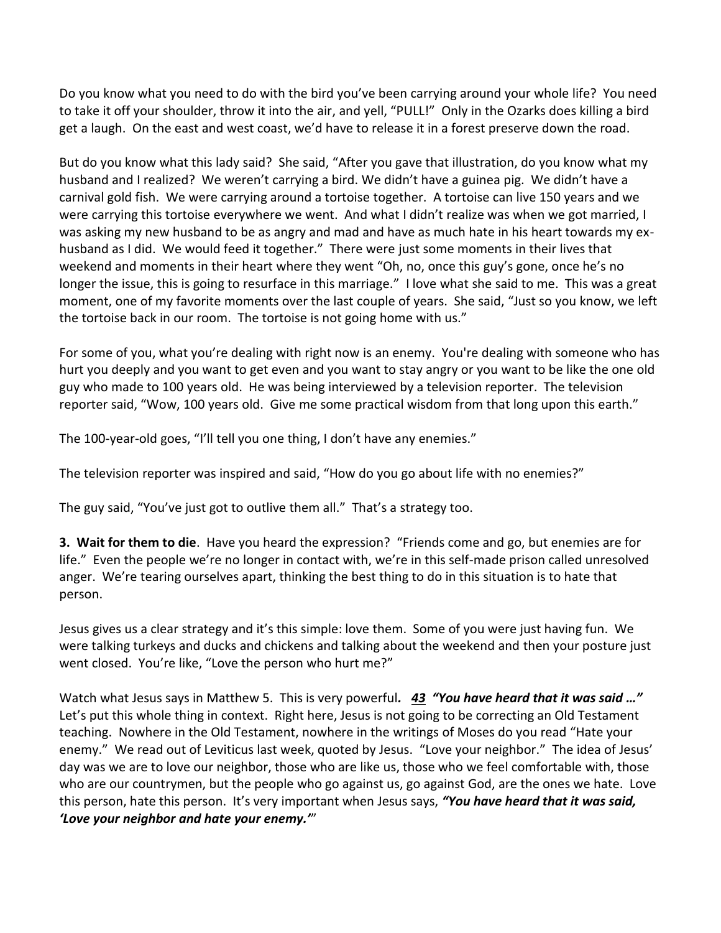Do you know what you need to do with the bird you've been carrying around your whole life? You need to take it off your shoulder, throw it into the air, and yell, "PULL!" Only in the Ozarks does killing a bird get a laugh. On the east and west coast, we'd have to release it in a forest preserve down the road.

But do you know what this lady said? She said, "After you gave that illustration, do you know what my husband and I realized? We weren't carrying a bird. We didn't have a guinea pig. We didn't have a carnival gold fish. We were carrying around a tortoise together. A tortoise can live 150 years and we were carrying this tortoise everywhere we went. And what I didn't realize was when we got married, I was asking my new husband to be as angry and mad and have as much hate in his heart towards my exhusband as I did. We would feed it together." There were just some moments in their lives that weekend and moments in their heart where they went "Oh, no, once this guy's gone, once he's no longer the issue, this is going to resurface in this marriage." I love what she said to me. This was a great moment, one of my favorite moments over the last couple of years. She said, "Just so you know, we left the tortoise back in our room. The tortoise is not going home with us."

For some of you, what you're dealing with right now is an enemy. You're dealing with someone who has hurt you deeply and you want to get even and you want to stay angry or you want to be like the one old guy who made to 100 years old. He was being interviewed by a television reporter. The television reporter said, "Wow, 100 years old. Give me some practical wisdom from that long upon this earth."

The 100-year-old goes, "I'll tell you one thing, I don't have any enemies."

The television reporter was inspired and said, "How do you go about life with no enemies?"

The guy said, "You've just got to outlive them all." That's a strategy too.

**3. Wait for them to die**. Have you heard the expression? "Friends come and go, but enemies are for life." Even the people we're no longer in contact with, we're in this self-made prison called unresolved anger. We're tearing ourselves apart, thinking the best thing to do in this situation is to hate that person.

Jesus gives us a clear strategy and it's this simple: love them. Some of you were just having fun. We were talking turkeys and ducks and chickens and talking about the weekend and then your posture just went closed. You're like, "Love the person who hurt me?"

Watch what Jesus says in Matthew 5. This is very powerful*. [43](http://www.studylight.org/desk/?q=mt%205:43&t1=en_niv&sr=1) "You have heard that it was said …"*  Let's put this whole thing in context. Right here, Jesus is not going to be correcting an Old Testament teaching. Nowhere in the Old Testament, nowhere in the writings of Moses do you read "Hate your enemy." We read out of Leviticus last week, quoted by Jesus. "Love your neighbor." The idea of Jesus' day was we are to love our neighbor, those who are like us, those who we feel comfortable with, those who are our countrymen, but the people who go against us, go against God, are the ones we hate. Love this person, hate this person. It's very important when Jesus says, *"You have heard that it was said, 'Love your neighbor and hate your enemy.'*"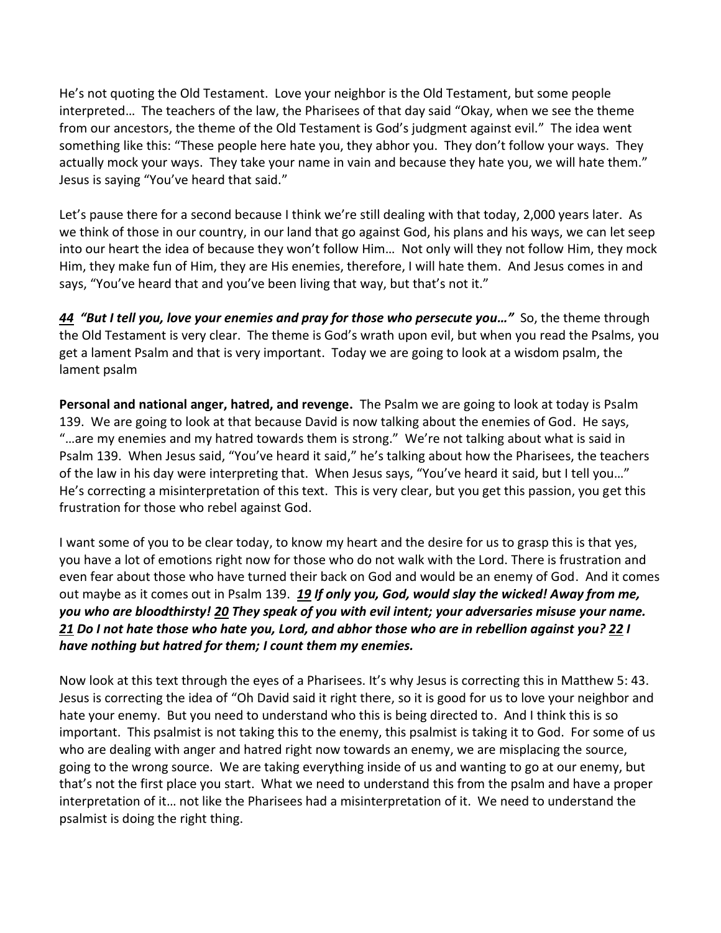He's not quoting the Old Testament. Love your neighbor is the Old Testament, but some people interpreted… The teachers of the law, the Pharisees of that day said "Okay, when we see the theme from our ancestors, the theme of the Old Testament is God's judgment against evil." The idea went something like this: "These people here hate you, they abhor you. They don't follow your ways. They actually mock your ways. They take your name in vain and because they hate you, we will hate them." Jesus is saying "You've heard that said."

Let's pause there for a second because I think we're still dealing with that today, 2,000 years later. As we think of those in our country, in our land that go against God, his plans and his ways, we can let seep into our heart the idea of because they won't follow Him… Not only will they not follow Him, they mock Him, they make fun of Him, they are His enemies, therefore, I will hate them. And Jesus comes in and says, "You've heard that and you've been living that way, but that's not it."

*[44](http://www.studylight.org/desk/?q=mt%205:44&t1=en_niv&sr=1) "But I tell you, love your enemies and pray for those who persecute you…"* So, the theme through the Old Testament is very clear. The theme is God's wrath upon evil, but when you read the Psalms, you get a lament Psalm and that is very important. Today we are going to look at a wisdom psalm, the lament psalm

**Personal and national anger, hatred, and revenge.** The Psalm we are going to look at today is Psalm 139. We are going to look at that because David is now talking about the enemies of God. He says, "…are my enemies and my hatred towards them is strong." We're not talking about what is said in Psalm 139. When Jesus said, "You've heard it said," he's talking about how the Pharisees, the teachers of the law in his day were interpreting that. When Jesus says, "You've heard it said, but I tell you…" He's correcting a misinterpretation of this text. This is very clear, but you get this passion, you get this frustration for those who rebel against God.

I want some of you to be clear today, to know my heart and the desire for us to grasp this is that yes, you have a lot of emotions right now for those who do not walk with the Lord. There is frustration and even fear about those who have turned their back on God and would be an enemy of God. And it comes out maybe as it comes out in Psalm 139. *[19](http://www.studylight.org/desk/?q=ps%20139:19&t1=en_niv&sr=1) If only you, God, would slay the wicked! Away from me, you who are bloodthirsty! [20](http://www.studylight.org/desk/?q=ps%20139:20&t1=en_niv&sr=1) They speak of you with evil intent; your adversaries misuse your name. [21](http://www.studylight.org/desk/?q=ps%20139:21&t1=en_niv&sr=1) Do I not hate those who hate you, Lord, and abhor those who are in rebellion against you? [22](http://www.studylight.org/desk/?q=ps%20139:22&t1=en_niv&sr=1) I have nothing but hatred for them; I count them my enemies.*

Now look at this text through the eyes of a Pharisees. It's why Jesus is correcting this in Matthew 5: 43. Jesus is correcting the idea of "Oh David said it right there, so it is good for us to love your neighbor and hate your enemy. But you need to understand who this is being directed to. And I think this is so important. This psalmist is not taking this to the enemy, this psalmist is taking it to God. For some of us who are dealing with anger and hatred right now towards an enemy, we are misplacing the source, going to the wrong source. We are taking everything inside of us and wanting to go at our enemy, but that's not the first place you start. What we need to understand this from the psalm and have a proper interpretation of it… not like the Pharisees had a misinterpretation of it. We need to understand the psalmist is doing the right thing.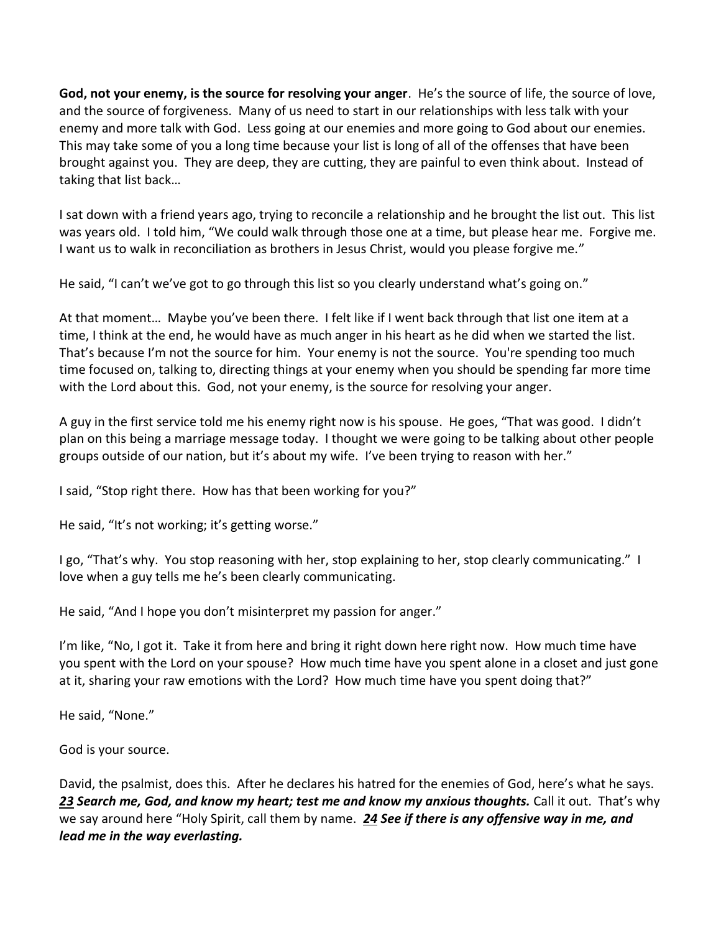**God, not your enemy, is the source for resolving your anger**. He's the source of life, the source of love, and the source of forgiveness. Many of us need to start in our relationships with less talk with your enemy and more talk with God. Less going at our enemies and more going to God about our enemies. This may take some of you a long time because your list is long of all of the offenses that have been brought against you. They are deep, they are cutting, they are painful to even think about. Instead of taking that list back…

I sat down with a friend years ago, trying to reconcile a relationship and he brought the list out. This list was years old. I told him, "We could walk through those one at a time, but please hear me. Forgive me. I want us to walk in reconciliation as brothers in Jesus Christ, would you please forgive me."

He said, "I can't we've got to go through this list so you clearly understand what's going on."

At that moment… Maybe you've been there. I felt like if I went back through that list one item at a time, I think at the end, he would have as much anger in his heart as he did when we started the list. That's because I'm not the source for him. Your enemy is not the source. You're spending too much time focused on, talking to, directing things at your enemy when you should be spending far more time with the Lord about this. God, not your enemy, is the source for resolving your anger.

A guy in the first service told me his enemy right now is his spouse. He goes, "That was good. I didn't plan on this being a marriage message today. I thought we were going to be talking about other people groups outside of our nation, but it's about my wife. I've been trying to reason with her."

I said, "Stop right there. How has that been working for you?"

He said, "It's not working; it's getting worse."

I go, "That's why. You stop reasoning with her, stop explaining to her, stop clearly communicating." I love when a guy tells me he's been clearly communicating.

He said, "And I hope you don't misinterpret my passion for anger."

I'm like, "No, I got it. Take it from here and bring it right down here right now. How much time have you spent with the Lord on your spouse? How much time have you spent alone in a closet and just gone at it, sharing your raw emotions with the Lord? How much time have you spent doing that?"

He said, "None."

God is your source.

David, the psalmist, does this. After he declares his hatred for the enemies of God, here's what he says. *[23](http://www.studylight.org/desk/?q=ps%20139:23&t1=en_niv&sr=1) Search me, God, and know my heart; test me and know my anxious thoughts.* Call it out. That's why we say around here "Holy Spirit, call them by name. *[24](http://www.studylight.org/desk/?q=ps%20139:24&t1=en_niv&sr=1) See if there is any offensive way in me, and lead me in the way everlasting.*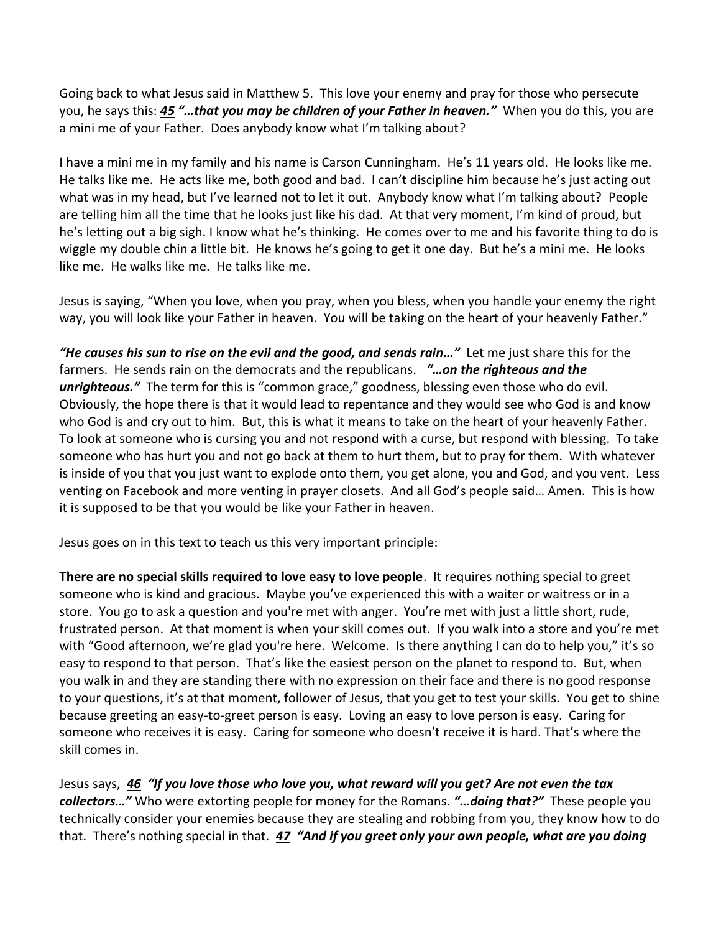Going back to what Jesus said in Matthew 5. This love your enemy and pray for those who persecute you, he says this: *[45](http://www.studylight.org/desk/?q=mt%205:45&t1=en_niv&sr=1) "…that you may be children of your Father in heaven."* When you do this, you are a mini me of your Father. Does anybody know what I'm talking about?

I have a mini me in my family and his name is Carson Cunningham. He's 11 years old. He looks like me. He talks like me. He acts like me, both good and bad. I can't discipline him because he's just acting out what was in my head, but I've learned not to let it out. Anybody know what I'm talking about? People are telling him all the time that he looks just like his dad. At that very moment, I'm kind of proud, but he's letting out a big sigh. I know what he's thinking. He comes over to me and his favorite thing to do is wiggle my double chin a little bit. He knows he's going to get it one day. But he's a mini me. He looks like me. He walks like me. He talks like me.

Jesus is saying, "When you love, when you pray, when you bless, when you handle your enemy the right way, you will look like your Father in heaven. You will be taking on the heart of your heavenly Father."

*"He causes his sun to rise on the evil and the good, and sends rain…"* Let me just share this for the farmers. He sends rain on the democrats and the republicans. *"…on the righteous and the unrighteous.*<sup>*"*</sup> The term for this is "common grace," goodness, blessing even those who do evil. Obviously, the hope there is that it would lead to repentance and they would see who God is and know who God is and cry out to him. But, this is what it means to take on the heart of your heavenly Father. To look at someone who is cursing you and not respond with a curse, but respond with blessing. To take someone who has hurt you and not go back at them to hurt them, but to pray for them. With whatever is inside of you that you just want to explode onto them, you get alone, you and God, and you vent. Less venting on Facebook and more venting in prayer closets. And all God's people said… Amen. This is how it is supposed to be that you would be like your Father in heaven.

Jesus goes on in this text to teach us this very important principle:

**There are no special skills required to love easy to love people**. It requires nothing special to greet someone who is kind and gracious. Maybe you've experienced this with a waiter or waitress or in a store. You go to ask a question and you're met with anger. You're met with just a little short, rude, frustrated person. At that moment is when your skill comes out. If you walk into a store and you're met with "Good afternoon, we're glad you're here. Welcome. Is there anything I can do to help you," it's so easy to respond to that person. That's like the easiest person on the planet to respond to. But, when you walk in and they are standing there with no expression on their face and there is no good response to your questions, it's at that moment, follower of Jesus, that you get to test your skills. You get to shine because greeting an easy-to-greet person is easy. Loving an easy to love person is easy. Caring for someone who receives it is easy. Caring for someone who doesn't receive it is hard. That's where the skill comes in.

Jesus says, *[46](http://www.studylight.org/desk/?q=mt%205:46&t1=en_niv&sr=1) "If you love those who love you, what reward will you get? Are not even the tax collectors…"* Who were extorting people for money for the Romans. *"…doing that?"* These people you technically consider your enemies because they are stealing and robbing from you, they know how to do that. There's nothing special in that. *[47](http://www.studylight.org/desk/?q=mt%205:47&t1=en_niv&sr=1) "And if you greet only your own people, what are you doing*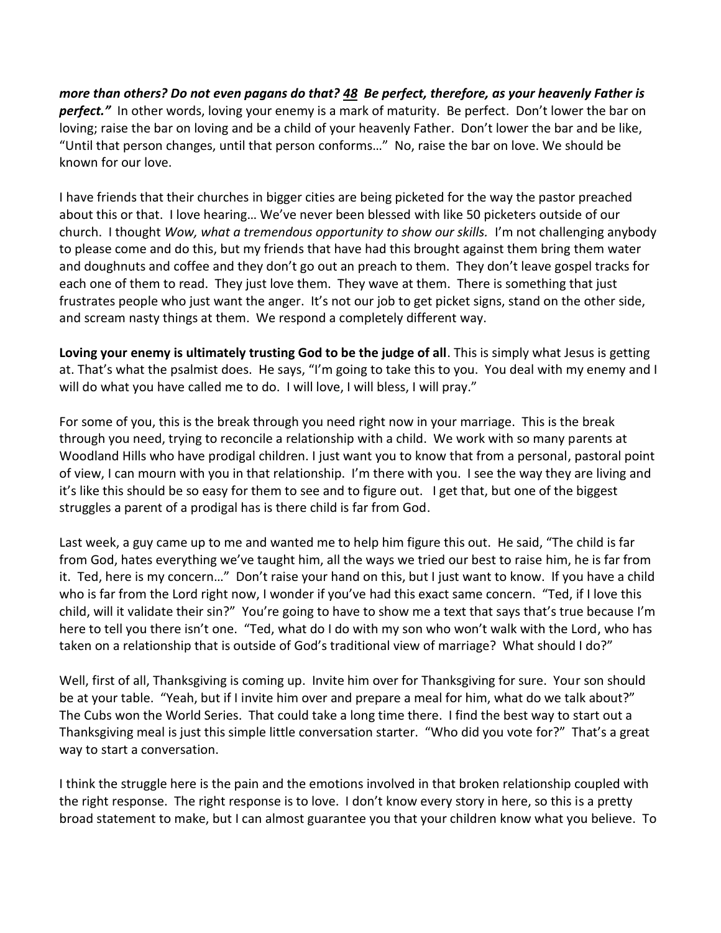*more than others? Do not even pagans do that? [48](http://www.studylight.org/desk/?q=mt%205:48&t1=en_niv&sr=1) Be perfect, therefore, as your heavenly Father is*  **perfect.**" In other words, loving your enemy is a mark of maturity. Be perfect. Don't lower the bar on loving; raise the bar on loving and be a child of your heavenly Father. Don't lower the bar and be like, "Until that person changes, until that person conforms…" No, raise the bar on love. We should be known for our love.

I have friends that their churches in bigger cities are being picketed for the way the pastor preached about this or that. I love hearing… We've never been blessed with like 50 picketers outside of our church. I thought *Wow, what a tremendous opportunity to show our skills.* I'm not challenging anybody to please come and do this, but my friends that have had this brought against them bring them water and doughnuts and coffee and they don't go out an preach to them. They don't leave gospel tracks for each one of them to read. They just love them. They wave at them. There is something that just frustrates people who just want the anger. It's not our job to get picket signs, stand on the other side, and scream nasty things at them. We respond a completely different way.

**Loving your enemy is ultimately trusting God to be the judge of all**. This is simply what Jesus is getting at. That's what the psalmist does. He says, "I'm going to take this to you. You deal with my enemy and I will do what you have called me to do. I will love, I will bless, I will pray."

For some of you, this is the break through you need right now in your marriage. This is the break through you need, trying to reconcile a relationship with a child. We work with so many parents at Woodland Hills who have prodigal children. I just want you to know that from a personal, pastoral point of view, I can mourn with you in that relationship. I'm there with you. I see the way they are living and it's like this should be so easy for them to see and to figure out. I get that, but one of the biggest struggles a parent of a prodigal has is there child is far from God.

Last week, a guy came up to me and wanted me to help him figure this out. He said, "The child is far from God, hates everything we've taught him, all the ways we tried our best to raise him, he is far from it. Ted, here is my concern…" Don't raise your hand on this, but I just want to know. If you have a child who is far from the Lord right now, I wonder if you've had this exact same concern. "Ted, if I love this child, will it validate their sin?" You're going to have to show me a text that says that's true because I'm here to tell you there isn't one. "Ted, what do I do with my son who won't walk with the Lord, who has taken on a relationship that is outside of God's traditional view of marriage? What should I do?"

Well, first of all, Thanksgiving is coming up. Invite him over for Thanksgiving for sure. Your son should be at your table. "Yeah, but if I invite him over and prepare a meal for him, what do we talk about?" The Cubs won the World Series. That could take a long time there. I find the best way to start out a Thanksgiving meal is just this simple little conversation starter. "Who did you vote for?" That's a great way to start a conversation.

I think the struggle here is the pain and the emotions involved in that broken relationship coupled with the right response. The right response is to love. I don't know every story in here, so this is a pretty broad statement to make, but I can almost guarantee you that your children know what you believe. To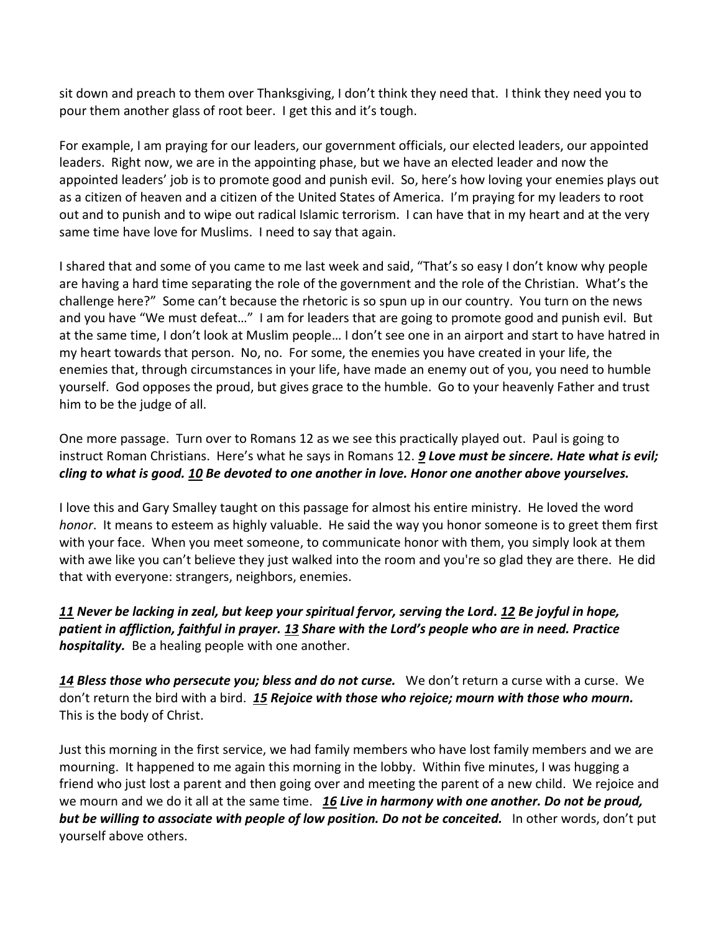sit down and preach to them over Thanksgiving, I don't think they need that. I think they need you to pour them another glass of root beer. I get this and it's tough.

For example, I am praying for our leaders, our government officials, our elected leaders, our appointed leaders. Right now, we are in the appointing phase, but we have an elected leader and now the appointed leaders' job is to promote good and punish evil. So, here's how loving your enemies plays out as a citizen of heaven and a citizen of the United States of America. I'm praying for my leaders to root out and to punish and to wipe out radical Islamic terrorism. I can have that in my heart and at the very same time have love for Muslims. I need to say that again.

I shared that and some of you came to me last week and said, "That's so easy I don't know why people are having a hard time separating the role of the government and the role of the Christian. What's the challenge here?" Some can't because the rhetoric is so spun up in our country. You turn on the news and you have "We must defeat…" I am for leaders that are going to promote good and punish evil. But at the same time, I don't look at Muslim people… I don't see one in an airport and start to have hatred in my heart towards that person. No, no. For some, the enemies you have created in your life, the enemies that, through circumstances in your life, have made an enemy out of you, you need to humble yourself. God opposes the proud, but gives grace to the humble. Go to your heavenly Father and trust him to be the judge of all.

One more passage. Turn over to Romans 12 as we see this practically played out. Paul is going to instruct Roman Christians. Here's what he says in Romans 12. *[9](http://www.studylight.org/desk/?q=ro%2012:9&t1=en_niv&sr=1) Love must be sincere. Hate what is evil; cling to what is good. [10](http://www.studylight.org/desk/?q=ro%2012:10&t1=en_niv&sr=1) Be devoted to one another in love. Honor one another above yourselves.*

I love this and Gary Smalley taught on this passage for almost his entire ministry. He loved the word *honor*. It means to esteem as highly valuable. He said the way you honor someone is to greet them first with your face. When you meet someone, to communicate honor with them, you simply look at them with awe like you can't believe they just walked into the room and you're so glad they are there. He did that with everyone: strangers, neighbors, enemies.

## *[11](http://www.studylight.org/desk/?q=ro%2012:11&t1=en_niv&sr=1) Never be lacking in zeal, but keep your spiritual fervor, serving the Lord. [12](http://www.studylight.org/desk/?q=ro%2012:12&t1=en_niv&sr=1) Be joyful in hope, patient in affliction, faithful in prayer. [13](http://www.studylight.org/desk/?q=ro%2012:13&t1=en_niv&sr=1) Share with the Lord's people who are in need. Practice hospitality.* Be a healing people with one another.

[14](http://www.studylight.org/desk/?q=ro%2012:14&t1=en_niv&sr=1) Bless those who persecute you; bless and do not curse. We don't return a curse with a curse. We don't return the bird with a bird. *[15](http://www.studylight.org/desk/?q=ro%2012:15&t1=en_niv&sr=1) Rejoice with those who rejoice; mourn with those who mourn.* This is the body of Christ.

Just this morning in the first service, we had family members who have lost family members and we are mourning. It happened to me again this morning in the lobby. Within five minutes, I was hugging a friend who just lost a parent and then going over and meeting the parent of a new child. We rejoice and we mourn and we do it all at the same time. *[16](http://www.studylight.org/desk/?q=ro%2012:16&t1=en_niv&sr=1) Live in harmony with one another. Do not be proud, but be willing to associate with people of low position. Do not be conceited.* **In other words, don't put** yourself above others.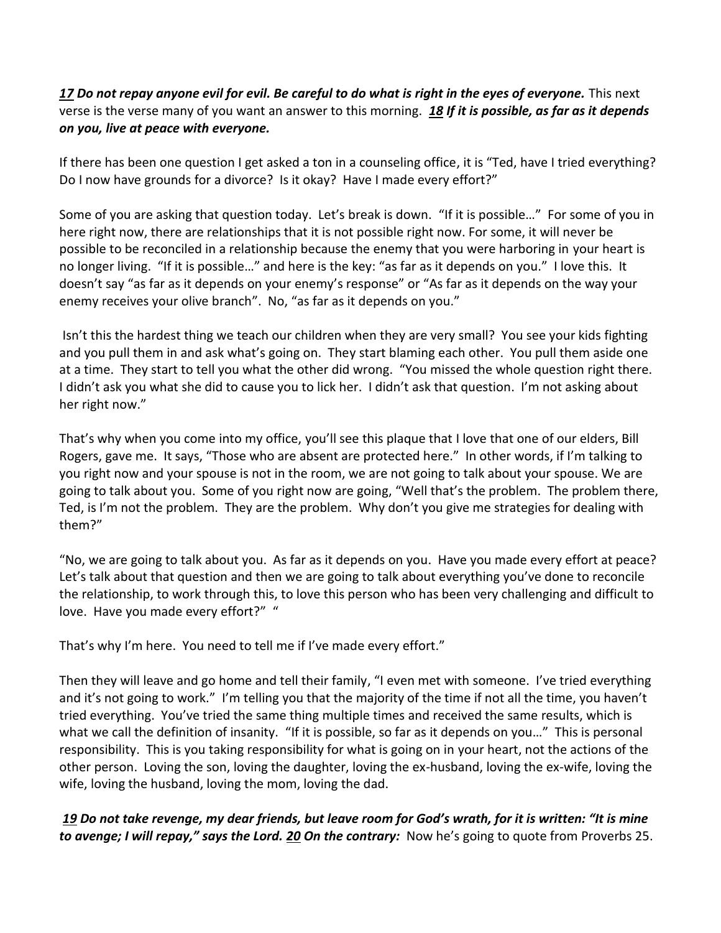## [17](http://www.studylight.org/desk/?q=ro%2012:17&t1=en_niv&sr=1) Do not repay anyone evil for evil. Be careful to do what is right in the eyes of everyone. This next verse is the verse many of you want an answer to this morning. *[18](http://www.studylight.org/desk/?q=ro%2012:18&t1=en_niv&sr=1) If it is possible, as far as it depends on you, live at peace with everyone.*

If there has been one question I get asked a ton in a counseling office, it is "Ted, have I tried everything? Do I now have grounds for a divorce? Is it okay? Have I made every effort?"

Some of you are asking that question today. Let's break is down. "If it is possible…" For some of you in here right now, there are relationships that it is not possible right now. For some, it will never be possible to be reconciled in a relationship because the enemy that you were harboring in your heart is no longer living. "If it is possible…" and here is the key: "as far as it depends on you." I love this. It doesn't say "as far as it depends on your enemy's response" or "As far as it depends on the way your enemy receives your olive branch". No, "as far as it depends on you."

Isn't this the hardest thing we teach our children when they are very small? You see your kids fighting and you pull them in and ask what's going on. They start blaming each other. You pull them aside one at a time. They start to tell you what the other did wrong. "You missed the whole question right there. I didn't ask you what she did to cause you to lick her. I didn't ask that question. I'm not asking about her right now."

That's why when you come into my office, you'll see this plaque that I love that one of our elders, Bill Rogers, gave me. It says, "Those who are absent are protected here." In other words, if I'm talking to you right now and your spouse is not in the room, we are not going to talk about your spouse. We are going to talk about you. Some of you right now are going, "Well that's the problem. The problem there, Ted, is I'm not the problem. They are the problem. Why don't you give me strategies for dealing with them?"

"No, we are going to talk about you. As far as it depends on you. Have you made every effort at peace? Let's talk about that question and then we are going to talk about everything you've done to reconcile the relationship, to work through this, to love this person who has been very challenging and difficult to love. Have you made every effort?" "

That's why I'm here. You need to tell me if I've made every effort."

Then they will leave and go home and tell their family, "I even met with someone. I've tried everything and it's not going to work." I'm telling you that the majority of the time if not all the time, you haven't tried everything. You've tried the same thing multiple times and received the same results, which is what we call the definition of insanity. "If it is possible, so far as it depends on you..." This is personal responsibility. This is you taking responsibility for what is going on in your heart, not the actions of the other person. Loving the son, loving the daughter, loving the ex-husband, loving the ex-wife, loving the wife, loving the husband, loving the mom, loving the dad.

*[19](http://www.studylight.org/desk/?q=ro%2012:19&t1=en_niv&sr=1) Do not take revenge, my dear friends, but leave room for God's wrath, for it is written: "It is mine to avenge; I will repay," says the Lord. [20](http://www.studylight.org/desk/?q=ro%2012:20&t1=en_niv&sr=1) On the contrary:* Now he's going to quote from Proverbs 25.